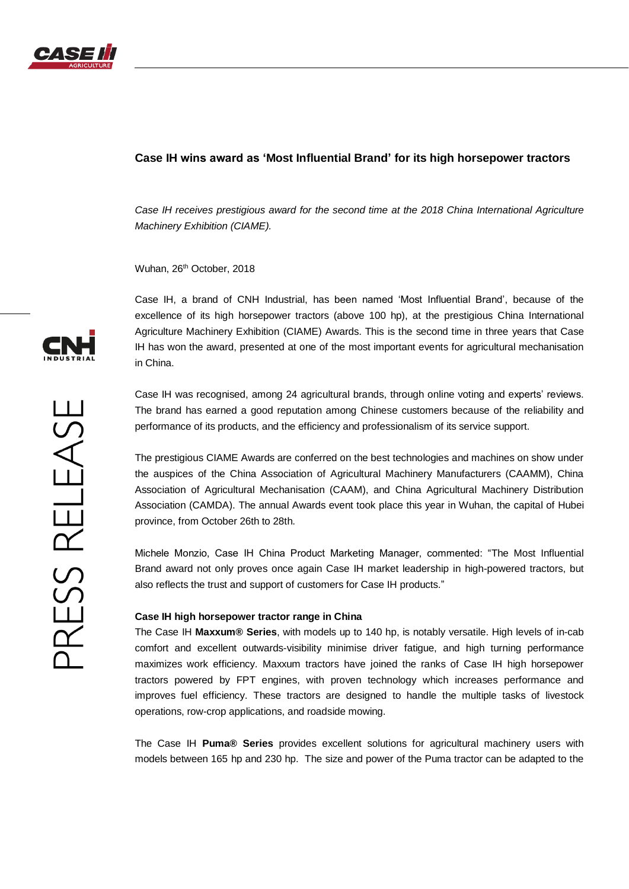

## **Case IH wins award as 'Most Influential Brand' for its high horsepower tractors**

*Case IH receives prestigious award for the second time at the 2018 China International Agriculture Machinery Exhibition (CIAME).*

Wuhan, 26<sup>th</sup> October, 2018

Case IH, a brand of CNH Industrial, has been named 'Most Influential Brand', because of the excellence of its high horsepower tractors (above 100 hp), at the prestigious China International Agriculture Machinery Exhibition (CIAME) Awards. This is the second time in three years that Case IH has won the award, presented at one of the most important events for agricultural mechanisation in China.

Case IH was recognised, among 24 agricultural brands, through online voting and experts' reviews. The brand has earned a good reputation among Chinese customers because of the reliability and performance of its products, and the efficiency and professionalism of its service support.

The prestigious CIAME Awards are conferred on the best technologies and machines on show under the auspices of the China Association of Agricultural Machinery Manufacturers (CAAMM), China Association of Agricultural Mechanisation (CAAM), and China Agricultural Machinery Distribution Association (CAMDA). The annual Awards event took place this year in Wuhan, the capital of Hubei province, from October 26th to 28th.

Michele Monzio, Case IH China Product Marketing Manager, commented: "The Most Influential Brand award not only proves once again Case IH market leadership in high-powered tractors, but also reflects the trust and support of customers for Case IH products."

## **Case IH high horsepower tractor range in China**

The Case IH **Maxxum® Series**, with models up to 140 hp, is notably versatile. High levels of in-cab comfort and excellent outwards-visibility minimise driver fatigue, and high turning performance maximizes work efficiency. Maxxum tractors have joined the ranks of Case IH high horsepower tractors powered by FPT engines, with proven technology which increases performance and improves fuel efficiency. These tractors are designed to handle the multiple tasks of livestock operations, row-crop applications, and roadside mowing.

The Case IH **Puma® Series** provides excellent solutions for agricultural machinery users with models between 165 hp and 230 hp. The size and power of the Puma tractor can be adapted to the

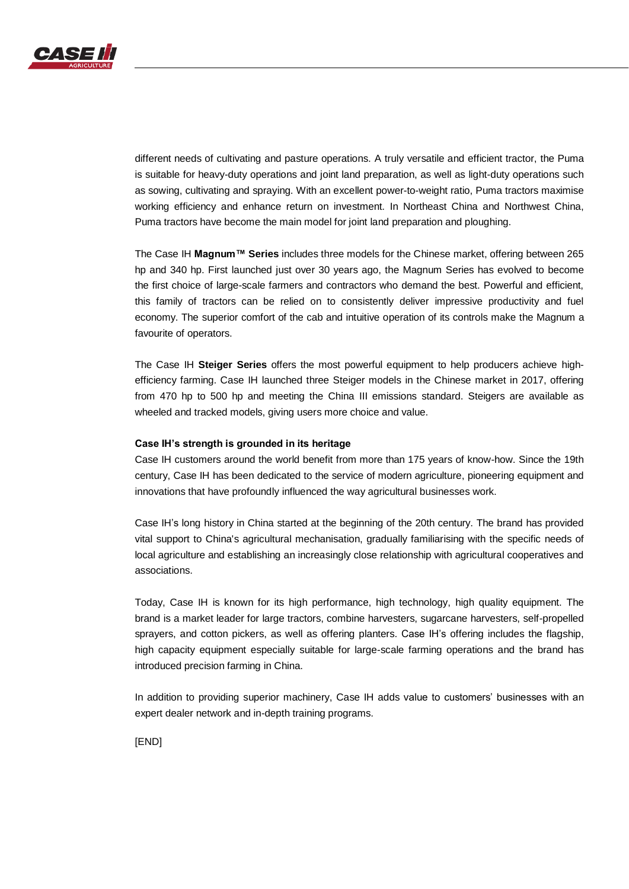

different needs of cultivating and pasture operations. A truly versatile and efficient tractor, the Puma is suitable for heavy-duty operations and joint land preparation, as well as light-duty operations such as sowing, cultivating and spraying. With an excellent power-to-weight ratio, Puma tractors maximise working efficiency and enhance return on investment. In Northeast China and Northwest China, Puma tractors have become the main model for joint land preparation and ploughing.

The Case IH **Magnum™ Series** includes three models for the Chinese market, offering between 265 hp and 340 hp. First launched just over 30 years ago, the Magnum Series has evolved to become the first choice of large-scale farmers and contractors who demand the best. Powerful and efficient, this family of tractors can be relied on to consistently deliver impressive productivity and fuel economy. The superior comfort of the cab and intuitive operation of its controls make the Magnum a favourite of operators.

The Case IH **Steiger Series** offers the most powerful equipment to help producers achieve highefficiency farming. Case IH launched three Steiger models in the Chinese market in 2017, offering from 470 hp to 500 hp and meeting the China III emissions standard. Steigers are available as wheeled and tracked models, giving users more choice and value.

## **Case IH's strength is grounded in its heritage**

Case IH customers around the world benefit from more than 175 years of know-how. Since the 19th century, Case IH has been dedicated to the service of modern agriculture, pioneering equipment and innovations that have profoundly influenced the way agricultural businesses work.

Case IH's long history in China started at the beginning of the 20th century. The brand has provided vital support to China's agricultural mechanisation, gradually familiarising with the specific needs of local agriculture and establishing an increasingly close relationship with agricultural cooperatives and associations.

Today, Case IH is known for its high performance, high technology, high quality equipment. The brand is a market leader for large tractors, combine harvesters, sugarcane harvesters, self-propelled sprayers, and cotton pickers, as well as offering planters. Case IH's offering includes the flagship, high capacity equipment especially suitable for large-scale farming operations and the brand has introduced precision farming in China.

In addition to providing superior machinery, Case IH adds value to customers' businesses with an expert dealer network and in-depth training programs.

[END]